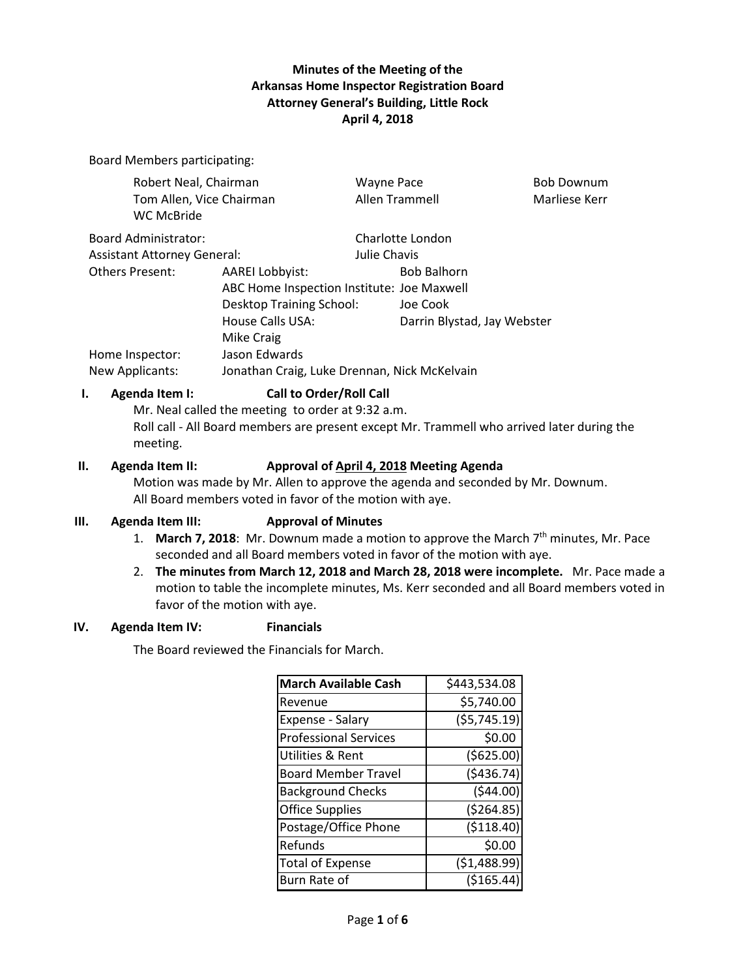# **Minutes of the Meeting of the Arkansas Home Inspector Registration Board Attorney General's Building, Little Rock April 4, 2018**

Board Members participating:

| Robert Neal, Chairman<br>Tom Allen, Vice Chairman |                                              | <b>Wayne Pace</b><br>Allen Trammell |                             | <b>Bob Downum</b><br>Marliese Kerr |
|---------------------------------------------------|----------------------------------------------|-------------------------------------|-----------------------------|------------------------------------|
|                                                   |                                              |                                     |                             |                                    |
| <b>Board Administrator:</b>                       |                                              |                                     | Charlotte London            |                                    |
| <b>Assistant Attorney General:</b>                |                                              | Julie Chavis                        |                             |                                    |
| Others Present:                                   | <b>AAREI Lobbyist:</b>                       |                                     | <b>Bob Balhorn</b>          |                                    |
|                                                   | ABC Home Inspection Institute: Joe Maxwell   |                                     |                             |                                    |
|                                                   | Desktop Training School:                     |                                     | Joe Cook                    |                                    |
|                                                   | House Calls USA:                             |                                     | Darrin Blystad, Jay Webster |                                    |
|                                                   | Mike Craig                                   |                                     |                             |                                    |
| Home Inspector:                                   | Jason Edwards                                |                                     |                             |                                    |
| New Applicants:                                   | Jonathan Craig, Luke Drennan, Nick McKelvain |                                     |                             |                                    |
|                                                   |                                              |                                     |                             |                                    |

### **I. Agenda Item I: Call to Order/Roll Call**

Mr. Neal called the meeting to order at 9:32 a.m. Roll call - All Board members are present except Mr. Trammell who arrived later during the meeting.

#### **II. Agenda Item II: Approval of April 4, 2018 Meeting Agenda**

Motion was made by Mr. Allen to approve the agenda and seconded by Mr. Downum. All Board members voted in favor of the motion with aye.

#### **III. Agenda Item III: Approval of Minutes**

- 1. **March 7, 2018**: Mr. Downum made a motion to approve the March 7th minutes, Mr. Pace seconded and all Board members voted in favor of the motion with aye.
- 2. **The minutes from March 12, 2018 and March 28, 2018 were incomplete.** Mr. Pace made a motion to table the incomplete minutes, Ms. Kerr seconded and all Board members voted in favor of the motion with aye.

### **IV. Agenda Item IV: Financials**

The Board reviewed the Financials for March.

| <b>March Available Cash</b>  | \$443,534.08  |
|------------------------------|---------------|
| Revenue                      | \$5,740.00    |
| Expense - Salary             | (55, 745.19)  |
| <b>Professional Services</b> | \$0.00        |
| Utilities & Rent             | ( \$625.00)   |
| <b>Board Member Travel</b>   | (5436.74)     |
| <b>Background Checks</b>     | (544.00)      |
| <b>Office Supplies</b>       | ( \$264.85)   |
| Postage/Office Phone         | ( \$118.40)   |
| Refunds                      | \$0.00        |
| <b>Total of Expense</b>      | ( \$1,488.99) |
| Burn Rate of                 | ( \$165.44    |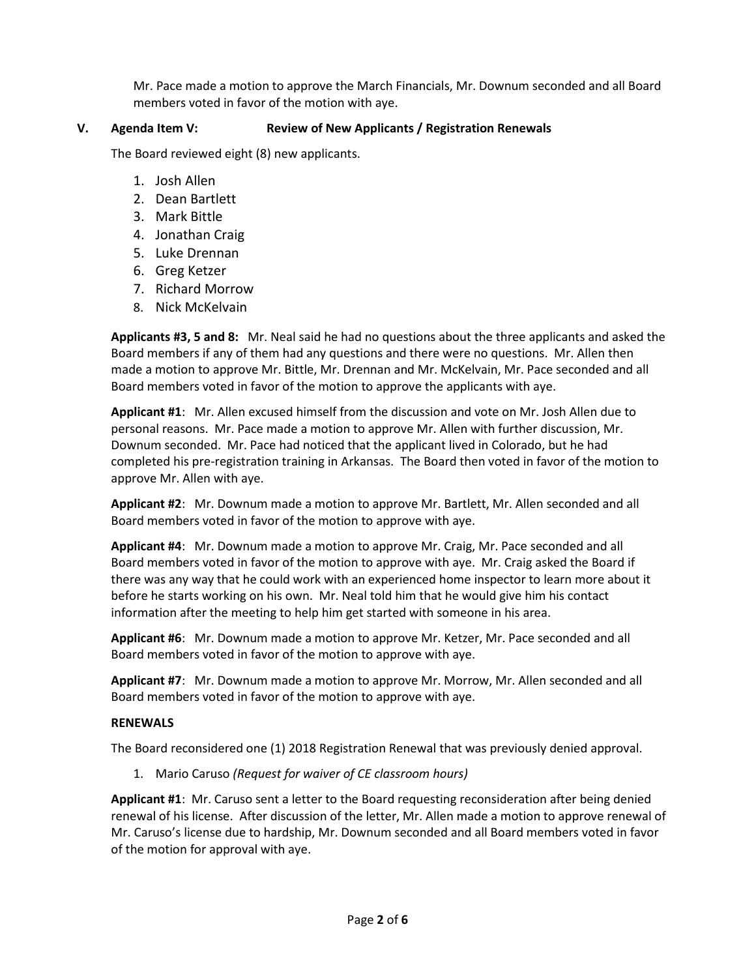Mr. Pace made a motion to approve the March Financials, Mr. Downum seconded and all Board members voted in favor of the motion with aye.

### **V. Agenda Item V: Review of New Applicants / Registration Renewals**

The Board reviewed eight (8) new applicants.

- 1. Josh Allen
- 2. Dean Bartlett
- 3. Mark Bittle
- 4. Jonathan Craig
- 5. Luke Drennan
- 6. Greg Ketzer
- 7. Richard Morrow
- 8. Nick McKelvain

**Applicants #3, 5 and 8:** Mr. Neal said he had no questions about the three applicants and asked the Board members if any of them had any questions and there were no questions. Mr. Allen then made a motion to approve Mr. Bittle, Mr. Drennan and Mr. McKelvain, Mr. Pace seconded and all Board members voted in favor of the motion to approve the applicants with aye.

**Applicant #1**: Mr. Allen excused himself from the discussion and vote on Mr. Josh Allen due to personal reasons. Mr. Pace made a motion to approve Mr. Allen with further discussion, Mr. Downum seconded. Mr. Pace had noticed that the applicant lived in Colorado, but he had completed his pre-registration training in Arkansas. The Board then voted in favor of the motion to approve Mr. Allen with aye.

**Applicant #2**: Mr. Downum made a motion to approve Mr. Bartlett, Mr. Allen seconded and all Board members voted in favor of the motion to approve with aye.

**Applicant #4**: Mr. Downum made a motion to approve Mr. Craig, Mr. Pace seconded and all Board members voted in favor of the motion to approve with aye. Mr. Craig asked the Board if there was any way that he could work with an experienced home inspector to learn more about it before he starts working on his own. Mr. Neal told him that he would give him his contact information after the meeting to help him get started with someone in his area.

**Applicant #6**: Mr. Downum made a motion to approve Mr. Ketzer, Mr. Pace seconded and all Board members voted in favor of the motion to approve with aye.

**Applicant #7**: Mr. Downum made a motion to approve Mr. Morrow, Mr. Allen seconded and all Board members voted in favor of the motion to approve with aye.

#### **RENEWALS**

The Board reconsidered one (1) 2018 Registration Renewal that was previously denied approval.

1. Mario Caruso *(Request for waiver of CE classroom hours)*

**Applicant #1**: Mr. Caruso sent a letter to the Board requesting reconsideration after being denied renewal of his license. After discussion of the letter, Mr. Allen made a motion to approve renewal of Mr. Caruso's license due to hardship, Mr. Downum seconded and all Board members voted in favor of the motion for approval with aye.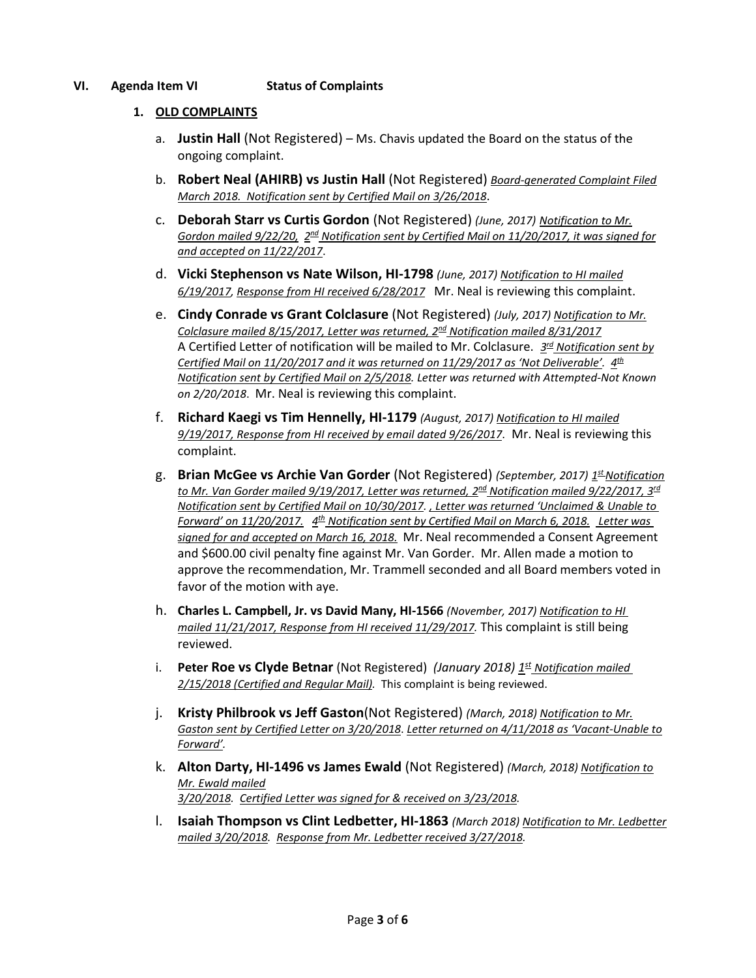### **VI. Agenda Item VI Status of Complaints**

### **1. OLD COMPLAINTS**

- a. **Justin Hall** (Not Registered) Ms. Chavis updated the Board on the status of the ongoing complaint.
- b. **Robert Neal (AHIRB) vs Justin Hall** (Not Registered) *Board-generated Complaint Filed March 2018. Notification sent by Certified Mail on 3/26/2018*.
- c. **Deborah Starr vs Curtis Gordon** (Not Registered) *(June, 2017) Notification to Mr. Gordon mailed 9/22/20, 2<sup>nd</sup> Notification sent by Certified Mail on 11/20/2017, it was signed for and accepted on 11/22/2017*.
- d. **Vicki Stephenson vs Nate Wilson, HI-1798** *(June, 2017) Notification to HI mailed 6/19/2017, Response from HI received 6/28/2017* Mr. Neal is reviewing this complaint.
- e. **Cindy Conrade vs Grant Colclasure** (Not Registered) *(July, 2017) Notification to Mr. Colclasure mailed 8/15/2017, Letter was returned, 2nd Notification mailed 8/31/2017* A Certified Letter of notification will be mailed to Mr. Colclasure. *3rd Notification sent by Certified Mail on 11/20/2017 and it was returned on 11/29/2017 as 'Not Deliverable'. 4th Notification sent by Certified Mail on 2/5/2018. Letter was returned with Attempted-Not Known on 2/20/2018*. Mr. Neal is reviewing this complaint.
- f. **Richard Kaegi vs Tim Hennelly, HI-1179** *(August, 2017) Notification to HI mailed 9/19/2017, Response from HI received by email dated 9/26/2017*. Mr. Neal is reviewing this complaint.
- g. **Brian McGee vs Archie Van Gorder** (Not Registered) *(September, 2017) 1stNotification to Mr. Van Gorder mailed 9/19/2017, Letter was returned, 2nd Notification mailed 9/22/2017, 3rd Notification sent by Certified Mail on 10/30/2017. , Letter was returned 'Unclaimed & Unable to Forward' on 11/20/2017. 4th Notification sent by Certified Mail on March 6, 2018. Letter was signed for and accepted on March 16, 2018.* Mr. Neal recommended a Consent Agreement and \$600.00 civil penalty fine against Mr. Van Gorder. Mr. Allen made a motion to approve the recommendation, Mr. Trammell seconded and all Board members voted in favor of the motion with aye.
- h. **Charles L. Campbell, Jr. vs David Many, HI-1566** *(November, 2017) Notification to HI mailed 11/21/2017, Response from HI received 11/29/2017.* This complaint is still being reviewed.
- i. **Peter Roe vs Clyde Betnar** (Not Registered) *(January 2018)* 1<sup>st</sup> Notification mailed *2/15/2018 (Certified and Regular Mail).* This complaint is being reviewed.
- j. **Kristy Philbrook vs Jeff Gaston**(Not Registered) *(March, 2018) Notification to Mr. Gaston sent by Certified Letter on 3/20/2018*. *Letter returned on 4/11/2018 as 'Vacant-Unable to Forward'.*
- k. **Alton Darty, HI-1496 vs James Ewald** (Not Registered) *(March, 2018) Notification to Mr. Ewald mailed 3/20/2018. Certified Letter was signed for & received on 3/23/2018.*
- l. **Isaiah Thompson vs Clint Ledbetter, HI-1863** *(March 2018) Notification to Mr. Ledbetter mailed 3/20/2018. Response from Mr. Ledbetter received 3/27/2018.*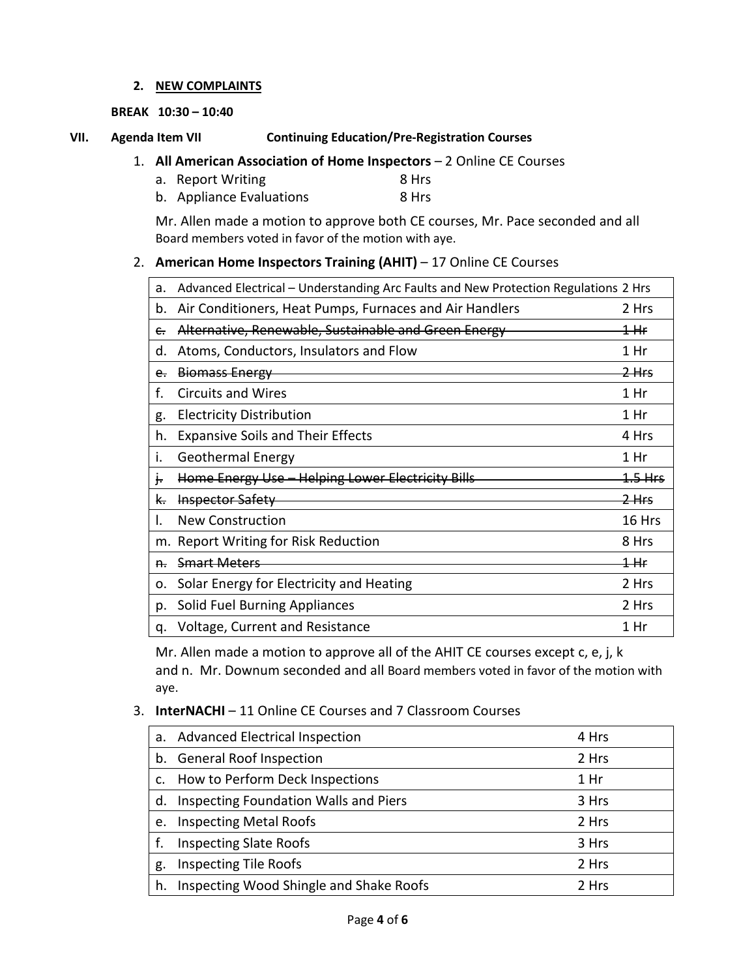### **2. NEW COMPLAINTS**

### **BREAK 10:30 – 10:40**

# **VII. Agenda Item VII Continuing Education/Pre-Registration Courses**

- 1. **All American Association of Home Inspectors** 2 Online CE Courses
	- a. Report Writing 8 Hrs
	- b. Appliance Evaluations 8 Hrs

Mr. Allen made a motion to approve both CE courses, Mr. Pace seconded and all Board members voted in favor of the motion with aye.

# 2. **American Home Inspectors Training (AHIT)** – 17 Online CE Courses

| a.            | Advanced Electrical - Understanding Arc Faults and New Protection Regulations 2 Hrs |                  |  |
|---------------|-------------------------------------------------------------------------------------|------------------|--|
| b.            | Air Conditioners, Heat Pumps, Furnaces and Air Handlers                             | 2 Hrs            |  |
| e.            | Alternative, Renewable, Sustainable and Green Energy                                | <del>1 Hr</del>  |  |
| d.            | Atoms, Conductors, Insulators and Flow                                              | 1 Hr             |  |
| e.            | <b>Biomass Energy</b>                                                               | <del>2 Hrs</del> |  |
| f.            | <b>Circuits and Wires</b>                                                           | 1 Hr             |  |
| g.            | <b>Electricity Distribution</b>                                                     | 1 Hr             |  |
| h.            | <b>Expansive Soils and Their Effects</b>                                            | 4 Hrs            |  |
| ι.            | Geothermal Energy                                                                   | 1 Hr             |  |
| t.            | Home Energy Use - Helping Lower Electricity Bills                                   | 1.5 Hrs          |  |
| <del>К.</del> | <b>Inspector Safety</b>                                                             | <del>2 Hrs</del> |  |
|               | <b>New Construction</b>                                                             | 16 Hrs           |  |
|               | m. Report Writing for Risk Reduction                                                | 8 Hrs            |  |
| <del>n.</del> | <b>Smart Meters</b>                                                                 | 1 Hr             |  |
| ο.            | Solar Energy for Electricity and Heating                                            | 2 Hrs            |  |
| p.            | Solid Fuel Burning Appliances                                                       | 2 Hrs            |  |
| q.            | Voltage, Current and Resistance                                                     | 1 Hr             |  |

Mr. Allen made a motion to approve all of the AHIT CE courses except c, e, j, k and n. Mr. Downum seconded and all Board members voted in favor of the motion with aye.

# 3. **InterNACHI** – 11 Online CE Courses and 7 Classroom Courses

|    | a. Advanced Electrical Inspection       | 4 Hrs |
|----|-----------------------------------------|-------|
| b. | <b>General Roof Inspection</b>          | 2 Hrs |
| C. | How to Perform Deck Inspections         | 1 Hr  |
| d. | Inspecting Foundation Walls and Piers   | 3 Hrs |
| e. | <b>Inspecting Metal Roofs</b>           | 2 Hrs |
|    | <b>Inspecting Slate Roofs</b>           | 3 Hrs |
| g. | <b>Inspecting Tile Roofs</b>            | 2 Hrs |
| h. | Inspecting Wood Shingle and Shake Roofs | 2 Hrs |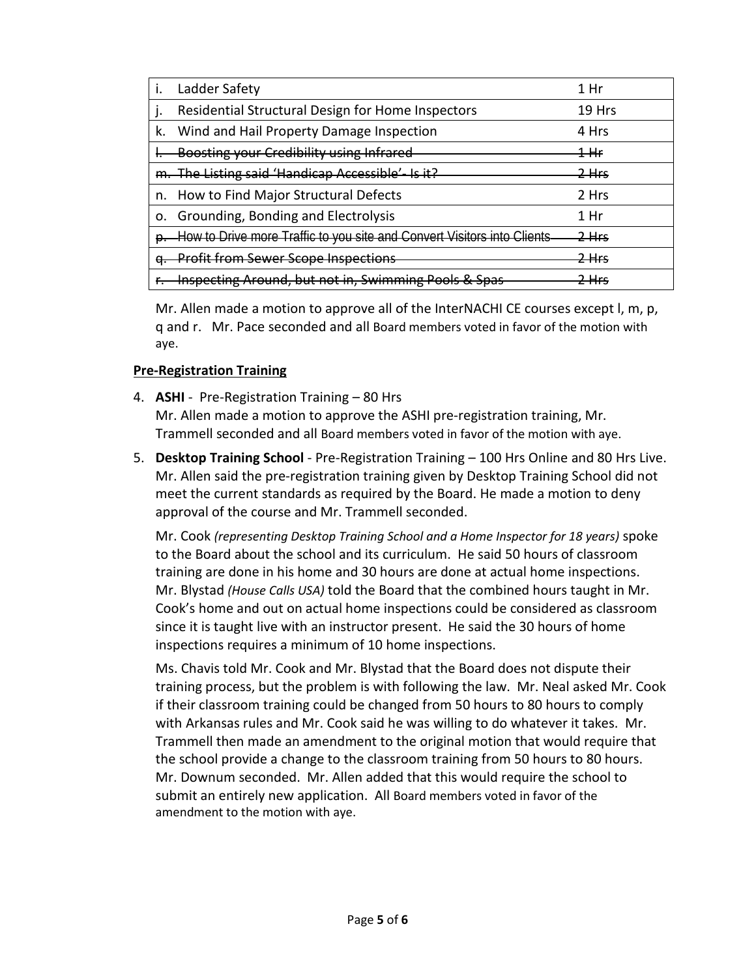|    | Ladder Safety                                                           | 1 Hr                  |
|----|-------------------------------------------------------------------------|-----------------------|
|    | Residential Structural Design for Home Inspectors                       | 19 Hrs                |
| k. | Wind and Hail Property Damage Inspection                                | 4 Hrs                 |
|    | Boosting your Credibility using Infrared                                | $1\!+\!$              |
|    | The Listing said 'Handicap Accessible'- Is it?                          | 2 Hrc<br><del>.</del> |
| n. | How to Find Major Structural Defects                                    | 2 Hrs                 |
| 0. | Grounding, Bonding and Electrolysis                                     | 1 Hr                  |
|    | How to Drive more Traffic to you site and Convert Visitors into Clients | <del>2 Hrs</del>      |
|    | <b>Profit from Sewer Scope Inspections</b>                              | <u> 2 Hrc</u>         |
|    | <b>Inspecting Around, but not in, Swimming Pools &amp; Spas</b>         | Hrc                   |

Mr. Allen made a motion to approve all of the InterNACHI CE courses except l, m, p, q and r. Mr. Pace seconded and all Board members voted in favor of the motion with aye.

# **Pre-Registration Training**

- 4. **ASHI** Pre-Registration Training 80 Hrs Mr. Allen made a motion to approve the ASHI pre-registration training, Mr. Trammell seconded and all Board members voted in favor of the motion with aye.
- 5. **Desktop Training School** Pre-Registration Training 100 Hrs Online and 80 Hrs Live. Mr. Allen said the pre-registration training given by Desktop Training School did not meet the current standards as required by the Board. He made a motion to deny approval of the course and Mr. Trammell seconded.

Mr. Cook *(representing Desktop Training School and a Home Inspector for 18 years)* spoke to the Board about the school and its curriculum. He said 50 hours of classroom training are done in his home and 30 hours are done at actual home inspections. Mr. Blystad *(House Calls USA)* told the Board that the combined hours taught in Mr. Cook's home and out on actual home inspections could be considered as classroom since it is taught live with an instructor present. He said the 30 hours of home inspections requires a minimum of 10 home inspections.

Ms. Chavis told Mr. Cook and Mr. Blystad that the Board does not dispute their training process, but the problem is with following the law. Mr. Neal asked Mr. Cook if their classroom training could be changed from 50 hours to 80 hours to comply with Arkansas rules and Mr. Cook said he was willing to do whatever it takes. Mr. Trammell then made an amendment to the original motion that would require that the school provide a change to the classroom training from 50 hours to 80 hours. Mr. Downum seconded. Mr. Allen added that this would require the school to submit an entirely new application. All Board members voted in favor of the amendment to the motion with aye.